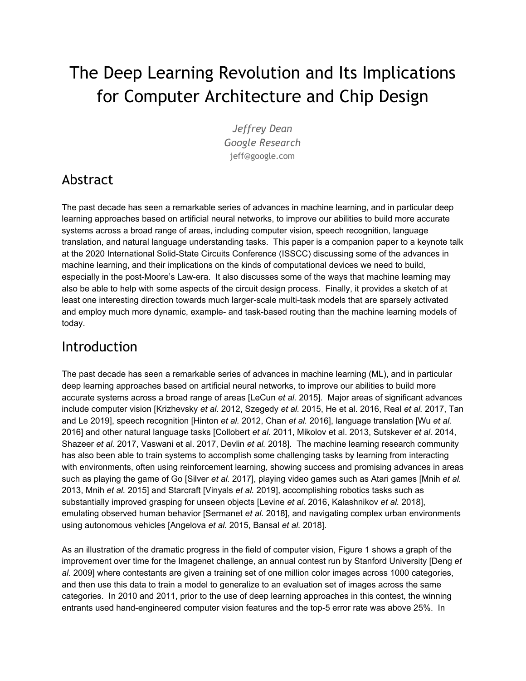# The Deep Learning Revolution and Its Implications for Computer Architecture and Chip Design

*Jeffrey Dean Google Research* jeff@google.com

#### Abstract

The past decade has seen a remarkable series of advances in machine learning, and in particular deep learning approaches based on artificial neural networks, to improve our abilities to build more accurate systems across a broad range of areas, including computer vision, speech recognition, language translation, and natural language understanding tasks. This paper is a companion paper to a keynote talk at the 2020 International Solid-State Circuits Conference (ISSCC) discussing some of the advances in machine learning, and their implications on the kinds of computational devices we need to build, especially in the post-Moore's Law-era. It also discusses some of the ways that machine learning may also be able to help with some aspects of the circuit design process. Finally, it provides a sketch of at least one interesting direction towards much larger-scale multi-task models that are sparsely activated and employ much more dynamic, example- and task-based routing than the machine learning models of today.

#### Introduction

The past decade has seen a remarkable series of advances in machine learning (ML), and in particular deep learning approaches based on artificial neural networks, to improve our abilities to build more accurate systems across a broad range of areas [LeCun *et al.* 2015]. Major areas of significant advances include computer vision [Krizhevsky *et al.* 2012, Szegedy *et al.* 2015, He et al. 2016, Real *et al.* 2017, Tan and Le 2019], speech recognition [Hinton *et al.* 2012, Chan *et al.* 2016], language translation [Wu *et al.* 2016] and other natural language tasks [Collobert *et al.* 2011, Mikolov et al. 2013, Sutskever *et al.* 2014, Shazeer *et al.* 2017, Vaswani et al. 2017, Devlin *et al.* 2018]. The machine learning research community has also been able to train systems to accomplish some challenging tasks by learning from interacting with environments, often using reinforcement learning, showing success and promising advances in areas such as playing the game of Go [Silver *et al.* 2017], playing video games such as Atari games [Mnih *et al.* 2013, Mnih *et al.* 2015] and Starcraft [Vinyals *et al.* 2019], accomplishing robotics tasks such as substantially improved grasping for unseen objects [Levine *et al.* 2016, Kalashnikov *et al.* 2018], emulating observed human behavior [Sermanet *et al.* 2018], and navigating complex urban environments using autonomous vehicles [Angelova *et al.* 2015, Bansal *et al.* 2018].

As an illustration of the dramatic progress in the field of computer vision, Figure 1 shows a graph of the improvement over time for the Imagenet challenge, an annual contest run by Stanford University [Deng *et al.* 2009] where contestants are given a training set of one million color images across 1000 categories, and then use this data to train a model to generalize to an evaluation set of images across the same categories. In 2010 and 2011, prior to the use of deep learning approaches in this contest, the winning entrants used hand-engineered computer vision features and the top-5 error rate was above 25%. In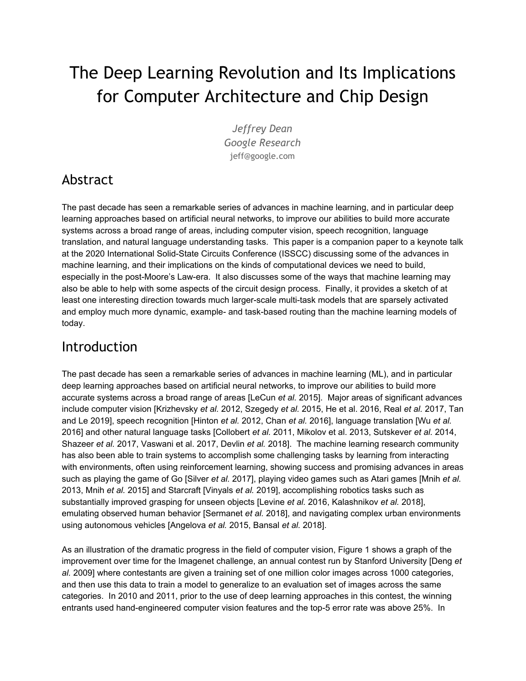2012, Alex Krishevsky, Ilya Sutskever, and Geoffrey Hinton used a deep neural network, commonly referred to as "AlexNet", to take first place in the contest with a major reduction in the top-5 error rate to 16% [Krishevsky *et al.* 2012]. Their team was the only team that used a neural network in 2012. The next year, the deep learning computer vision revolution was in full force with the vast majority of entries from teams using deep neural networks, and the winning error rate again dropped substantially to 11.7%. We know from a careful study that Andrej Karpathy performed that human error on this task is just above 5% if the human practices for ~20 hours, or 12% if a different person practices for just a few hours [Karpathy 2014]. Over the course of the years 2011 to 2017, the winning Imagenet error rate dropped sharply from 26% in 2011 to 2.3% in 2017.



Figure 1: ImageNet classification contest winner accuracy over time

These advances in fundamental areas like computer vision, speech recognition, language understanding, and large-scale reinforcement learning have dramatic implications for many fields. We have seen a steady series of results in many different fields of science and medicine by applying the basic research results that have been generated over the past decade to these problem areas. Examples include promising areas of medical imaging diagnostic tasks including for diabetic retinopathy [Gulshan *et al.* 2016, Krause *et al.* 2018], breast cancer pathology [Liu *et al.* 2017], lung cancer CT scan interpretation [Ardila *et al.* 2019], and dermatology [Esteva *et al.* 2017]. Sequential prediction methods that are useful for language translation also turn out to be useful for making accurate predictions for a variety of different medically-relevant tasks from electronic medical records [Rajkomar *et al.* 2018]. These early signs point the way for machine learning to have a significant impact across many areas of health and medical care [Rajkomar *et al.* 2019, Esteva *et al.* 2019].

Other fields that have been improved by the use of deep learning-based approaches include quantum chemistry [Gilmer *et al.* 2017], earthquake prediction [DeVries *et al.* 2018], flood forecasting [Nevo 2019], genomics [Poplin *et al.* 2018], protein folding [Evans *et al.* 2018], high energy physics [Baldi *et al.* 2014], and agriculture [Ramcharan *et al.* 2017].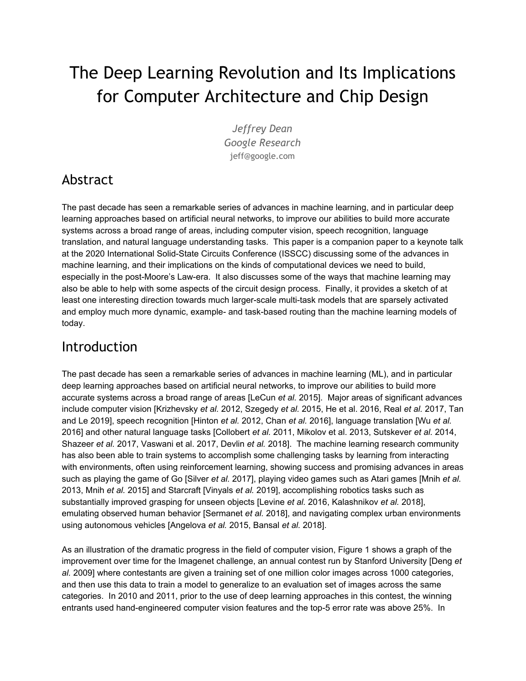With these significant advances, it is clear that the potential for ML to change many different fields of endeavor is substantial.

# Moore's Law, Post Moore's Law, and the Computational Demands of Machine Learning

Many of the key ideas and algorithms underlying deep learning and artificial neural networks have been around since the 1960s, 1970s, 1980s, and 1990s [Minsky and Papert 1969, Rumelhart *et al.* 1988, Tesauro 1994]. In the late 1980s and early 1990s there was a surge of excitement in the ML and AI community as people realized that neural networks could solve some problems in interesting ways, with substantial advantages stemming from their ability to accept very raw forms of (sometimes heterogeneous) input data and to have the model automatically build up hierarchical representations in the course of training the model to perform some predictive task. At that time, though, computers were not powerful enough to allow this approach to work on anything but small, almost toy-sized problems. Some work at the time attempted to extend the amount of computation available for training neural networks by using parallel algorithms [Shaw 1981, Dean 1990], but for the most part, the focus of most people in the AI and ML community shifted away from neural network-based approaches. It was not until the later parts of the decade of the 2000s, after two more decades of computational performance improvements driven by Moore's Law that computers finally started to become powerful enough to train large neural networks on realistic, real-world problems like Imagenet [*Deng et al. 2009*], rather than smaller-scale, toy problems like MNIST [LeCun *et al.* 2000] and CIFAR [Krizhevsky *et al.* 2009]. In particular, the paradigm of general-purpose computing on GPU cards (GPGPU) [Luebke *et al.* 2006], because of GPU cards' high floating point performance relative to CPUs, started to allow neural networks to show interesting results on difficult problems of real consequence.

It is perhaps unfortunate that just as we started to have enough computational performance to start to tackle interesting real-world problems and the increased scale and applicability of machine learning has led to a dramatic thirst for additional computational resources to tackle larger problems, the computing industry as a whole has experienced a dramatic slowdown in the year-over-year improvement of general purpose CPU performance. Figure 2 shows this dramatic slowdown, where we have gone from doubling general-purpose CPU performance every 1.5 years (1985 through 2003) or 2 years (2003 to 2010) to now being in an era where general purpose CPU performance is expected to double only every 20 years [Hennessy and Patterson 2017]. Figure 3 shows the dramatic surge in computational demands for some important recent machine learning advances (note the logarithmic Y-axis, with the best-fit line showing a doubling time in computational demand of 3.43 months for this select set of important ML research results) [OpenAI 2018]. Figure 4 shows the dramatic surge in research output in the field of machine learning and its applications, measured via the number of papers posted to the machine-learning-related categories of Arxiv, a popular paper preprint hosting service, with more than 32 times as many papers posted in 2018 as in 2009 (a growth rate of more than doubling every 2 years). There are now more than 100 research papers per day posted to Arxiv in the machine-learning-related subtopic areas, and this growth shows no signs of slowing down.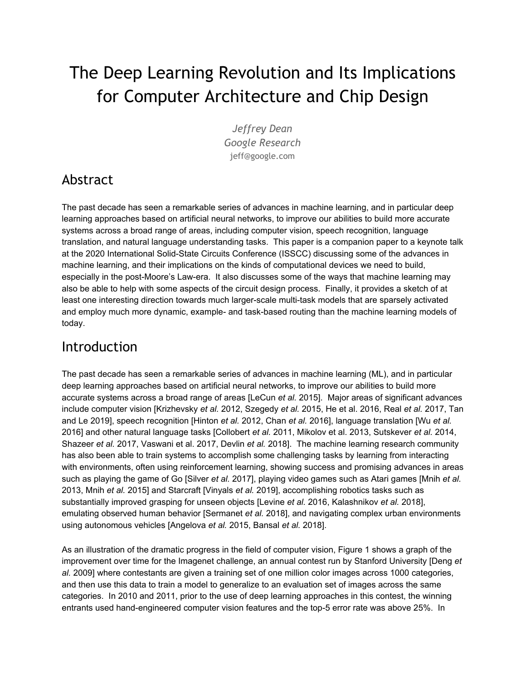40 years of Processor Performance



Figure 2: Computing Performance in the Moore's Law and the Post-Moore's Law Periods



AlexNet to AlphaGo Zero: A 300,000x Increase in Compute

Figure 3: Some important AI Advances and their Computational Requirements (Source: [openai.com/blog/ai-and-compute/](https://openai.com/blog/ai-and-compute/))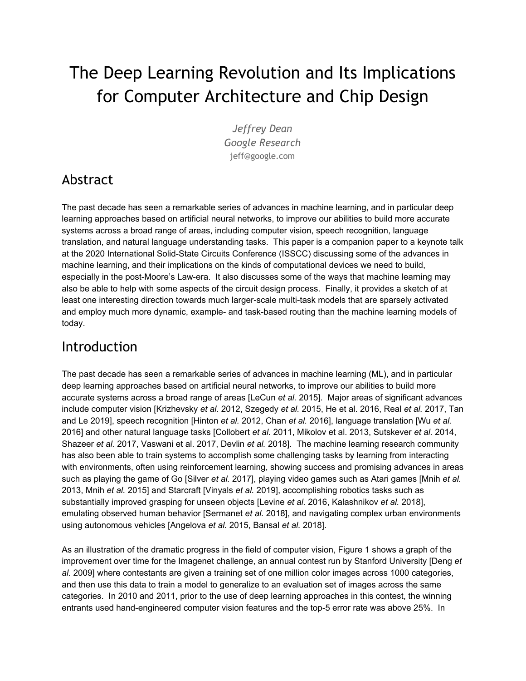

Figure 4: Machine learning-related Arxiv papers since 2009

## Machine-Learning-Specialized Hardware

In 2011 and 2012, a small team of researchers and system engineers at Google built an early distributed system called DistBelief to enable parallel, distributed training of very large scale neural networks, using a combination of model and data parallel training and asynchronous updates to the parameters of the model by many different computational replicas [Dean *et al.* 2012]. This enabled us to train much larger neural networks on substantially larger data sets and, by mid-2012, using DistBelief as an underlying framework, we were seeing dramatically better accuracy for speech recognition [Hinton *et al.* 2012] and image classification models [Le *et al.* 2012]. The serving of these models in demanding settings of systems with hundreds of millions of users, though, was another matter, as the computational demands were very large. One back of the envelope calculation showed that in order to deploy the deep neural network system that was showing significant word error rate improvements for our main speech recognition system using CPU-based computational devices would require doubling the number of computers in Google datacenters (with some bold-but-still-plausible assumptions about significantly increased usage due to more accuracy). Even if this was economically reasonable, it would still take significant time, as it would involve pouring concrete, striking arrangements for windmill farm contracts, ordering and installing lots of computers, etc., and the speech system was just the tip of the iceberg in terms of what we saw as the potential set of the application of neural networks to many of our core problems and products. This thought exercise started to get us thinking about building specialized hardware for neural networks, first for inference, and then later systems for both training and inference.

#### K\m8cYqGdYWU]nYX<UfXkUfYAUYGYbqYZcf8YYd@YUfb]b[AcXY`q34E

Deep learning models have three properties that make them different than many other kinds of more general purpose computations. First, they are very tolerant of reduced-precision computations. Second,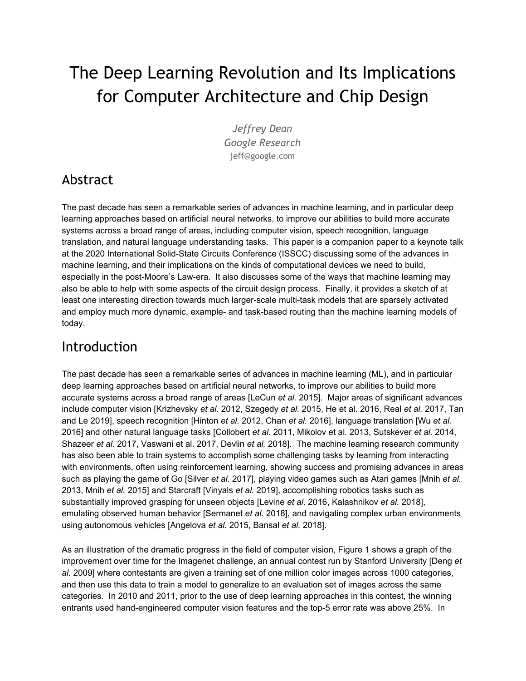the computations performed by most models are simply different compositions of a relatively small handful of operations like matrix multiplies, vector operations, application of convolutional kernels, and other dense linear algebra calculations [Vanhoucke *et al.* 2011]. Third, many of the mechanisms developed over the past 40 years to enable general-purpose programs to run with high performance on modern CPUs, such as branch predictors, speculative execution, hyperthreaded-execution processing cores, and deep cache memory hierarchies and TLB subsystems are unnecessary for machine learning computations. So, the opportunity exists to build computational hardware that is specialized for dense, low-precision linear algebra, and not much else, but is still programmable at the level of specifying programs as different compositions of mostly linear algebra-style operations. This confluence of characteristics is not dissimilar from the observations that led to the development of specialized digital signal processors (DSPs) for telecom applications starting in the 1980s [[en.wikipedia.org/wiki/Digital\\_signal\\_processor](https://en.wikipedia.org/wiki/Digital_signal_processor#History)]. A key difference though, is because of the broad

applicability of deep learning to huge swaths of computational problems across many domains and fields of endeavor, this hardware, despite its narrow set of supported operations, can be used for a wide variety of important computations, rather than the more narrowly tailored uses of DSPs. Based on our thought experiment about the dramatically increased computational demands of deep neural networks for some of our high volume inference applications like speech recognition and image classification, we decided to start an effort to design a series of accelerators called Tensor Processing Units for accelerating deep learning inference and training. The first such system, called TPUv1, was a single chip design designed to target inference acceleration [Jouppi *et al.* 2017].

For inference (after a model has been trained, and we want to apply the already-trained model to new inputs in order to make predictions), 8-bit integer-only calculations have been shown to be sufficient for many important models [Jouppi *et al.* 2017], with further widespread work going on in the research community to push this boundary further using things like even lower precision weights, and techniques to encourage sparsity of weights and/or activations.

The heart of the TPUv1 is a 65,536 8-bit multiply-accumulate matrix multiply unit that offers a peak throughput of 92 TeraOps/second (TOPS). TPUv1 is on average about 15X -- 30X faster than its contemporary GPU or CPU, with TOPS/Watt about 30X -- 80X higher, and was able to run production neural net applications representing about 95% of Google datacenters' neural network inference demand at the time with significant cost and power advantages [Jouppi *et al.* 2017].

Inference on low-power mobile devices is also incredibly important for many uses of machine learning. Being able to run machine learning models on-device, where the devices themselves are often the source of the raw data inputs used for models in areas like speech or vision, can have substantial latency as well as privacy benefits. It is possible to take the same design principles used for TPUv1 (a simple design targeting low precision linear algebra computations at high performance/Watt) and apply these principles to much lower power environments, such as mobile phones. Google's Edge TPU is one example of such a system, offering 4 TOps in a 2W power envelope [\[cloud.google.com/edge-tpu/](https://cloud.google.com/edge-tpu/), [coral.withgoogle.com/products/\]](https://coral.withgoogle.com/products/). On-device computation is already critical to many interesting use cases

of deep learning, where we want computer vision, speech and other kinds of models that can run directly on sensory inputs without requiring connectivity. One such example is on-device agriculture applications, like identification of diseases in plants such as cassava, in the middle of cassava fields which may not have reliable network connectivity [Ramcharan *et al.* 2017].

With the widespread adoption of machine learning and its growing importance as a key type of computation in the world, a Cambrian-style explosion of new and interesting accelerators for machine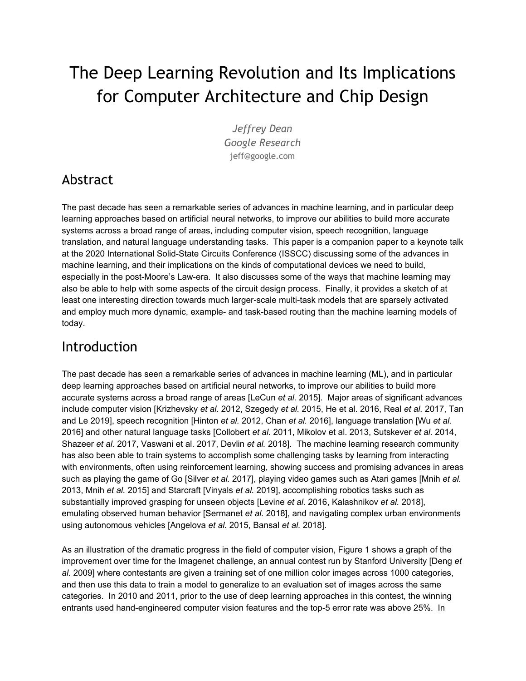learning computations is underway. There are more than XX venture-backed startup companies, as well as a variety of large, established companies, that are each producing various new chips and systems for machine learning. Some, such as Cerebras [\[www.cerebras.net/\]](https://www.cerebras.net/), Graphcore [[www.graphcore.ai/\]](https://www.graphcore.ai/), and Nervana (acquired by Intel) [\[www.intel.ai/nervana-nnp/\]](https://www.intel.ai/nervana-nnp/) are focused on a variety of designs for ML training. Others, such as Alibaba

[[www.alibabacloud.com/blog/alibaba-unveils-ai-chip-to-enhance-cloud-computing-power\\_595409](https://www.alibabacloud.com/blog/alibaba-unveils-ai-chip-to-enhance-cloud-computing-power_595409)] are designing chips focused on inference.. Some of the designs eschew larger memory-capacity DRAM or HBM to focus on very high performance designs for models that are small enough that their entire set of parameters and intermediate values fit in SRAM. Others focus on designs that include DRAM or HBM that make them suitable for larger-scale models. Some, like Cerebras, are exploring full wafer-scale integration. Others, such as Google's Edge TPUs [\[cloud.google.com/edge-tpu/](https://cloud.google.com/edge-tpu/)] are building very low power chips for inference in environments such as mobile phones and distributed sensing devices.

Designing customized machine learning hardware for training (rather than just inference) is a more complex endeavor than single chip inference accelerators. The reason is that single-chip systems for training are unable to solve many problems that we want to solve in reasonable periods of time (e.g. hours or days, rather than weeks or months), because a single-chip system cannot deliver sufficient computational power. Furthermore, the desire to train larger models on larger data sets is such that, even if a single chip could deliver enough computation to solve a given problem in a reasonable amount of time, that would just mean that we would often want to solve even larger problems (necessitating the use of multiple chips in a parallel or distributed system anyway). Therefore, designing training systems is really about designing larger-scale, holistic computer systems, and requires thinking about individual accelerator chip design, as well as high performance interconnects to form tightly coupled machine learning supercomputers. Google's second- and third-generation TPUs, TPUv2 and TPUv3 [[cloud.google.com/tpu/](https://cloud.google.com/tpu/)], are designed to support both training and inference, and the basic individual devices, each consisting of four chips, were designed to be connected together into larger configurations called pods. Figure 5 shows the block diagram of a single Google TPUv2 chip, with two cores, with the main computational capacity in each core provided by a large matrix multiply unit that can yield the results of multiplying a pair of 128x128 matrices each cycle. Each chip has 16 GB (TPUv2) or 32 GB (TPUv3) of attached high-bandwidth memory (HBM). Figure 6 shows the deployment form of a Google's TPUv3 Pod of 1024 accelerator chips, consisting of eight racks of chips and accompanying servers, with the chips connected together in a 32x32 toroidal mesh, providing a peak system performance of more than 100 petaflop/s.



Figure 5: A block diagram of Google's Tensor Processing Unit v2 (TPUv2)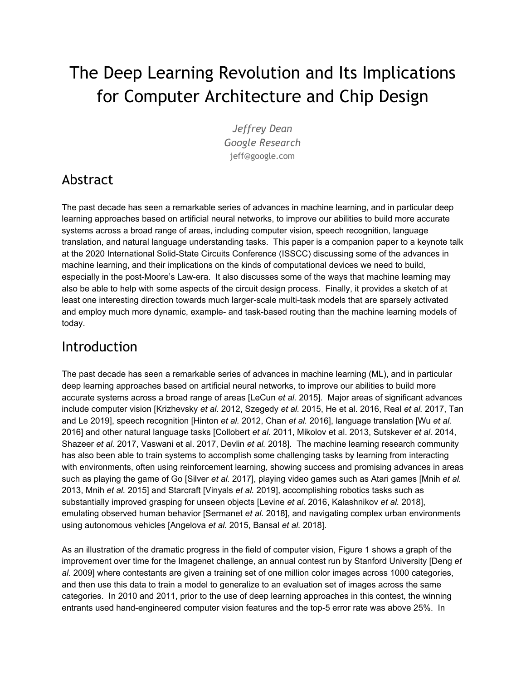

Figure 6: Google's TPUv3 Pod, consisting of 1024 TPUv3 chips w/peak performance of >100 petaflop/s

#### @ck DfYWolcb Bi a Yf]W: cfa Uhg Zcf A UW JbY @YUfb]b[Æ

TPUv2 and TPUv3 use a custom-designed floating point format called bfloat16 [Wang and Kanwar 2019], which departs from the IEEE half-precision 16-bit format to provide a format that is more useful for machine learning and also enables much cheaper multiplier circuits. bfloat16 was originally developed as a lossy compression technique to help reduce bandwidth requirements during network communications of machine learning weights and activations in the DistBelief system, and was described briefly in section 5.5 of the TensorFlow white paper [Abadi *et al.* 2016, sec. 5.5]. It has been the workhorse floating format in TPUv2 and TPUv3 since 2015. As of December, 2018, Intel announced plans to add bfloat16 support to future generations of Intel processors [Morgan 2018].

Figure 7 below shows the split between sign, exponent, and mantissa bits for the IEEE fp32 single-precision floating point format, the IEEE fp16 half-precision floating point format, and the bfloat16 format.



Figure 7: Differences between single-precision IEEE/half-precision IEEE/brain16 Floating Point Formats

As it turns out, machine learning computations used in deep learning models care more about dynamic range than they do about precision. Furthermore, one major area & power cost of multiplier circuits for a floating point format with *M* mantissa bits is the  $(M+1) \times (M+1)$  array of full adders (that are needed for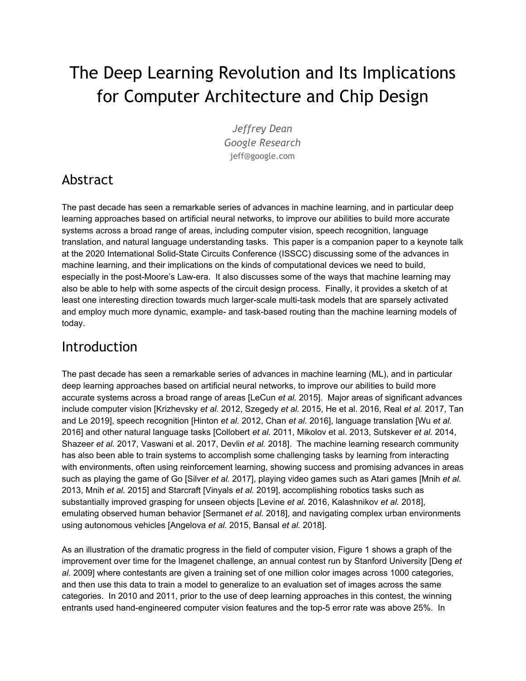multiplying together the mantissa portions of the two input numbers. The IEEE fp32, IEEE fp16 and bfloat16 formats need 576 full adders, 121 full adders, and 64 full adders, respectively. Because multipliers for the bfloat16 format require so much less circuitry, it is possible to put more multipliers in the same chip area and power budget, thereby meaning that ML accelerators employing this format can have higher flops/sec and flops/Watt, all other things being equal. Reduced precision representations also reduce the bandwidth and energy required to move data to and from memory or to send it across interconnect fabrics, giving further efficiency gains.

#### H\Y7\U`Yb[YcZlbWfhU]bhm]bU: UghAcj]b[: ]Y`X*A*E

One challenge for building machine learning accelerator hardware is that the ML research field is moving extremely fast (as witnessed by the growth and absolute number of research papers published per year shown in Figure 4). Chip design projects that are started today often take 18 months to 24 months to finish the design, fabricate the semiconductor parts and get them back and install them into a production datacenter environment. For these parts to be economically viable, they typically must have lifetimes of at least three years. So, the challenge for computer architects building ML hardware is to predict where the fast moving field of machine learning will be in the 2 to 5 year time frame. Our experience is that bringing together computer architects, higher-level software system builders and machine learning researchers to discuss co-design-related topics like "what might be possible in the hardware in that time frame?" and "what interesting research trends are starting to appear and what would be their implications for ML hardware?" is a useful way to try to ensure that we design and build useful hardware to accelerate ML research and production uses of ML.

## Machine Learning for Chip Design

One area that has significant potential is the use of machine learning to learn to automatically generate high quality solutions for a number of different NP-hard optimization problems that exist in the overall workflow for designing custom ASICs. For example, currently placement and routing for complex ASIC designs takes large teams of human placement experts to iteratively refine from high-level placement to detailed placement as the overall design of an ASIC is fleshed out. Because there is considerable human involvement in the placement process, it is inconceivable to consider radically different layouts without dramatically affecting the schedule of a chip project once the initial high level design is done. However, placement and routing is a problem that is amenable to the sorts of reinforcement learning approaches that were successful in solving games, like AlphaGo. In placement and routing, a sequence of placement and routing decisions all combine to affect a set of overall metrics like chip area, timing, and wire length. By having a reinforcement learning algorithm learn to "play" the game of placement and routing, either in general across many different ASIC designs, or for a particular ASIC design, with a reward function that combines the various attributes into a single numerical reward function, and by applying significant amounts of machine-learning computation (in the form of ML accelerators), it may be possible to have a system that can do placement and routing more rapidly and more effectively than a team of human experts working with existing electronic design tools for placement and routing. We have been exploring these approaches internally at Google and have early preliminary-but-promising looking results. The automated ML based system also enables rapid design space exploration, as the reward function can be easily adjusted to optimize for different trade-offs in target optimization metrics.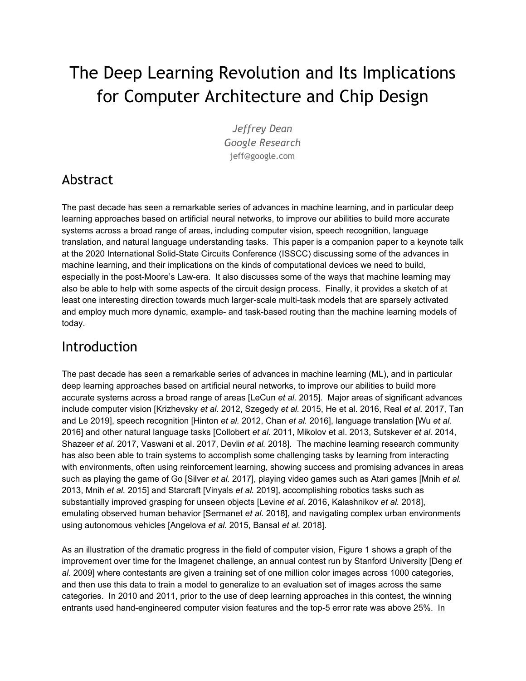Furthermore, it may even be possible to train a machine learning system to make a whole series of decisions from high-level synthesis down to actual low-level logic representations and then perform placement and routing of these low-level circuits into a physical realization of the actual high level design in a much more automated and end-to-end fashion. If this could happen, then it's possible that the time for a complex ASIC design could be reduced substantially, from many months down to weeks. This would significantly alter the tradeoffs involved in deciding when it made sense to design custom chips, because the current high level of non-recurring engineering expenses often mean that custom chips or circuits are designed only for the highest volume and highest value applications.

# Machine Learning for Semiconductor Manufacturing Problems

With the dramatic improvements in computer vision over the past decade, there are a number of problems in the domain of visual inspection of wafers during the semiconductor manufacturing process that may be amenable to more automation, or to improved accuracy over the existing approaches in this area. By detecting defects earlier or more accurately, we may be able to achieve higher yields or reduced costs. A survey of these approaches provides a general sense of the area [Huang and Pan 2015]

## Machine Learning for Learned Heuristics in Computer Systems

Another opportunity for machine learning is in the use of learned heuristics in computer systems such as compilers, operating systems, file systems, networking stacks, etc. Computer systems are filled with hand-written heuristics that have to work in the general case. For example, compilers must make decisions about which routines to inline, which instruction sequences to choose which of many possible loop nesting structures to use, and how to lay out data structures in memory [Aho *et al.* 1986]. Low-level networking software stacks must make decisions about when to increase or decrease the TCP window size, when to retransmit packets that might have been dropped, and whether and how to compress data across network links with different characteristics. Operating systems must choose which blocks to evict from their buffer cache, which processes and threads to schedule next, and which data to prefetch from disk [Tanenbaum and Woodhull 1997]. Database systems choose execution plans for high-level queries, make decisions about how to lay out high level data on disks, and which compression methods to use for which pieces of data [Silberschatz *et al.* 1997].

The potential exists to use machine-learned heuristics to replace hand-coded heuristics, with the ability for these ML heuristics to take into account much more contextual information than is possible in hand-written heuristics, allowing them to adapt more readily to the actual usage patterns of a system, rather than being constructed for the average case. Other uses of ML can replace traditional data structures like B-trees, hash tables, and Bloom filters with learned index structures, that can take advantage of the actual distribution of data being processed by a system to produce indices that are higher performance while being 20X to 100X smaller [Kraska *et al.* 2018].

## Future Machine Learning Directions

A few interesting threads of research are occuring in the ML research community at the moment that will likely be even more interesting if combined together.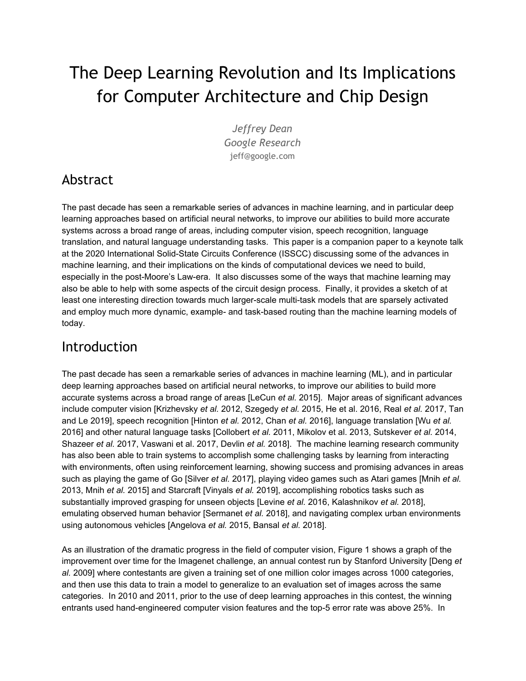First, work on sparsely-activated models, such as the sparsely-gated mixture of experts model [Shazeer *et al.* 2017], shows how to build very large capacity models where just a portion of the model is "activated" for any given example (say, just 2 or 3 experts out of 2048 experts). The routing function in such models is trained simultaneously and jointly with the different experts, so that the routing function learns which experts are good at which sorts of examples, and the experts simultaneously learn to specialize for the characteristics of the stream of examples to which they are given. This is in contrast with most ML models today where the whole model is activated for every example. Table 4 in Shazeer *et al.* 2017 showed that such an approach be simultaneously ~9X more efficient for training, ~2.5X more efficient for inference, and higher accuracy (+1 BLEU point for a language translation task).

Second, work on automated machine learning (AutoML), where techniques such as neural architecture search [Zoph and Le 2016, Pham *et al.* 2018] or evolutionary architectural search [Real *et al.* 2017, Gaier and Ha 2019] can automatically learn effective structures and other aspects of machine learning models or components in order to optimize accuracy for a given task. These approaches often involve running many automated experiments, each of which may involve significant amounts of computation.

Third, multi-task training at modest scales of a few to a few dozen related tasks, or transfer learning from a model trained on a large amount of data for a related task and then fine-tuned on a small amount of data for a new task, has been shown to be very effective in a wide variety of problems [Devlin *et al.* 2018]. So far, most use of multi-task machine learning is usually in the context of a single modality (e.g. all visual tasks, or all textual tasks) [Doersch and Zisserman 2017], although a few authors have considered multi-modality settings as well [Ruder 2017].

A particularly interesting research direction puts these three trends together, with a system running on large-scale ML accelerator hardware, with a goal of being able to train a model that can perform thousands or millions of tasks in a single model. Such a model might be made up of many different components of different structures, with the flow of data between examples being relatively dynamic on an example-by-example basis. The model might use techniques like the sparsely-gated mixture of experts and learned routing in order to have a very large capacity model [Shazeer *et al.* 2017], but where a given task or example only sparsely activates a small fraction of the total components in the system (and therefore keeps computational cost and power usage per training example or inference much lower). An interesting direction to explore would be to use dynamic and adaptive amounts of computation for different examples, so that "easy" examples use much less computation than "hard" examples (a relatively unusual property in the machine learning models of today). Figure 8 depicts such a system.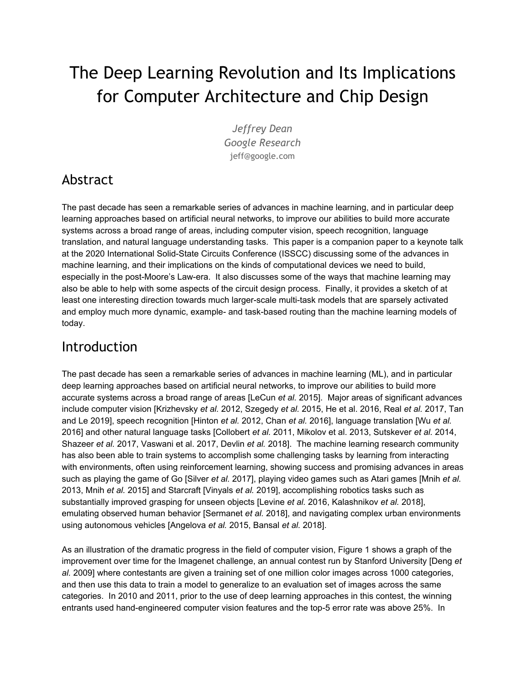

Figure 8: A diagram depicting a design for a large, sparsely activated, multi-task model. Each box in the model represents a component. Models for tasks develop by stitching together components, either using human-specified connection patterns, or automatically learned connectivity. Each component might be running a small architectural search to adapt to the kinds of data which is being routed to it, and routing decisions making components decide which downstream components are best suited for a particular task or example, based on observed behavior.

Each component might itself be running some AutoML-like architecture search [Pham *et al.* 2017], in order to adapt the structure of the component to the kinds of data that it is being routed to that component. New tasks can leverage components trained on other tasks when that is useful. The hope is that through very large scale multi-task learning, shared components, and learned routing, the model can very quickly learn to accomplish new tasks to a high level of accuracy, with relatively few examples for each new task (because the model is able to leverage the expertise and internal representations it has already developed in accomplishing other, related tasks).

Building a single machine learning system that can handle millions of tasks, and that can learn to successfully accomplish new tasks automatically, is a true grand challenge in the field of artificial intelligence and computer systems engineering: it will require expertise and advances in many areas, spanning solid-state circuit design, computer networking, ML-focused compilers, distributed systems, and machine learning algorithms in order to push the field of artificial intelligence forward by building a system that can generalize to solve new tasks independently across the full range of application areas of machine learning.

## Conclusion

The advances in machine learning over the past decade are already affecting a huge number of fields of science, engineering, and other forms of human endeavor, and this influence is only going to increase. The specialized computational needs of machine learning combined with the slowdown of general-purpose CPU performance improvements in the post-Moore's Law-era represent an exciting time for the computing hardware industry [Hennessy and Patterson 2019]: we now have a set of techniques that seem to be applicable to a vast array of problems across a huge number of domains, where we want to dramatically increase the scale of the models and datasets on which we can train these models, and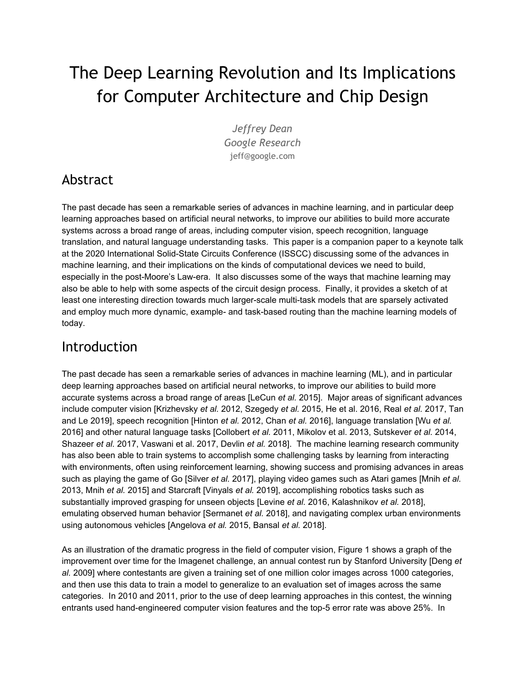where the impact of this work will touch a vast fraction of humanity. As we push the boundaries of what is possible with large-scale, massively multi-task learning systems that can generalize to new tasks, we will create tools to enable us to collectively accomplish more as societies and to advance humanity. We truly live in exciting times.

## Acknowledgements

Anand Babu, Alison Carroll, Satrajit Chatterjee, Jason Freidenfelds, Anna Goldie, Norm Jouppi, Azalia Mirhoseini, David Patterson, and Cliff Young, as well as this year's ISSCC chairs and anonymous ISSCC representatives all provided helpful feedback on the content of this article that was much appreciated.

#### References

- [Abadi *et al.* 2016] Abadi, Martín, Ashish Agarwal, Paul Barham, Eugene Brevdo, Zhifeng Chen, Craig Citro, Greg S. Corrado, Andy Davis, Jeffrey Dean, Matthieu Devin, Sanjay Ghemawat, Ian Goodfellow, Andrew Harp, Geoffrey Irving, Michael Isard, Yangqing Jia, Rafal Jozefowicz, Lukasz Kaiser, Manjunath Kudlur, Josh Levenberg, Dan Mane, Rajat Monga, Sherry Moore, Derek Murray, Chris Olah, Mike Schuster, Jonathon Shlens, Benoit Steiner, Ilya Sutskever, Kunal Talwar, Paul Tucker, Vincent Vanhoucke, Vijay Vasudevan, Fernanda Viegas, Oriol Vinyals, Pete Warden, Martin Wattenberg, Martin Wicke, Yuan Yu, and Xiaoqiang Zheng. "Tensorflow: Large-scale machine learning on heterogeneous distributed systems." [arxiv.org/abs/1603.04467](https://arxiv.org/abs/1603.04467) (2016).
- [Aho *et al.* 1986] Aho, Alfred V., Ravi Sethi, and Jeffrey D. Ullman. "Compilers, principles, techniques." *Addison Wesley* (1986).
- [Angelova *et al.* 2015] Angelova, Anelia, Alex Krizhevsky, Vincent Vanhoucke, Abhijit Ogale, and Dave Ferguson. "Real-time pedestrian detection with deep network cascades." In *Proceedings of BMVC* 2015, [ai.google/research/pubs/pub43850](https://ai.google/research/pubs/pub43850) (2015).
- [Ardila *et al.* 2019] Ardila, Diego, Atilla P. Kiraly, Sujeeth Bharadwaj, Bokyung Choi, Joshua J. Reicher, Lily Peng, Daniel Tse, Mozziyar Etemadi, Wenxing Ye, Greg Corrado, David P. Naidich and Shravya Shetty. "End-to-end lung cancer screening with three-dimensional deep learning on low-dose chest computed tomography." *Nature Medicine* 25, no. 6 (2019): 954.
- [Baldi *et al.* 2014] Baldi, Pierre, Peter Sadowski, and Daniel Whiteson. "Searching for exotic particles in high-energy physics with deep learning." *Nature Communications* 5 (2014): 4308. [www.nature.com/articles/ncomms5308](https://www.nature.com/articles/ncomms5308)
- [Bansal *et al.* 2018] Bansal, Mayank, Alex Krizhevsky, and Abhijit Ogale. "ChauffeurNet: Learning to drive by imitating the best and synthesizing the worst." [arxiv.org/abs/1812.03079](https://arxiv.org/abs/1812.03079) (2018).
- [Chan *et al.* 2016] Chan, William, Navdeep Jaitly, Quoc Le, and Oriol Vinyals. "Listen, attend and spell: A neural network for large vocabulary conversational speech recognition." In *2016 IEEE International Conference on Acoustics, Speech and Signal Processing (ICASSP)*, pp. 4960-4964. IEEE, 2016. [arxiv.org/abs/1508.01211](https://arxiv.org/abs/1508.01211)
- [Collobert *et al.* 2011] Collobert, Ronan, Jason Weston, Léon Bottou, Michael Karlen, Koray Kavukcuoglu, and Pavel Kuksa. "Natural language processing (almost) from scratch." *Journal of Machine Learning Research* 12, no. Aug (2011): 2493-2537. [arxiv.org/abs/1103.0398](https://arxiv.org/abs/1103.0398)
- [Dean 1990] Dean, Jeffrey. "Parallel Implementations of neural network training: two back-propagation approaches". Undergraduate honors thesis, University of Minnesota, 1990. drive.google.com/file/d/1I1fs4sczbCaACzA9XwxR3DiuXVtgmeiL/view
- [Dean *et al.* 2012] Dean, Jeffrey, Greg Corrado, Rajat Monga, Kai Chen, Matthieu Devin, Mark Mao, Marc'aurelio Ranzato et al. "Large scale distributed deep networks." In *Advances in Neural Information Processing Systems*, pp. 1223-1231. 2012. [papers.nips.cc/paper/4687-large-scale-distributed-deep-networks.pdf](https://papers.nips.cc/paper/4687-large-scale-distributed-deep-networks.pdf)
- [Dean *et al.* 2018] Dean, Jeff, David Patterson, and Cliff Young. "A new golden age in computer architecture: Empowering the machine-learning revolution." IEEE Micro 38, no. 2 (2018): 21-29. [ieeexplore.ieee.org/document/8259424](https://ieeexplore.ieee.org/document/8259424)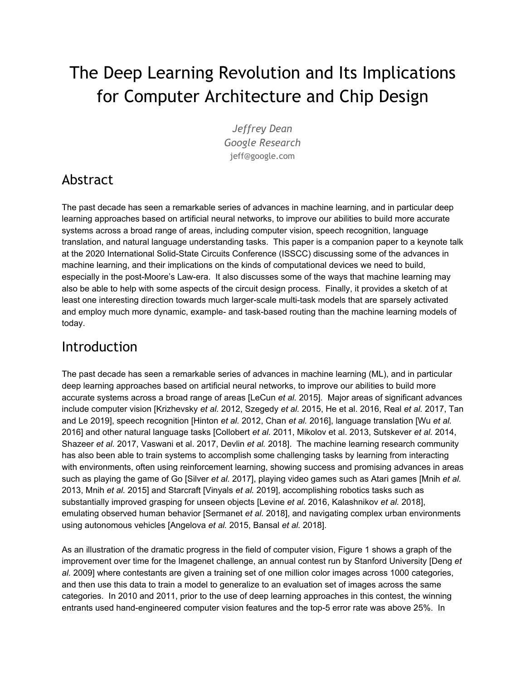- [Deng *et al.* 2009] Deng, Jia, Wei Dong, Richard Socher, Li-Jia Li, Kai Li, and Li Fei-Fei. "Imagenet: A large-scale hierarchical image database." In *2009 IEEE Conference on Computer Vision and Pattern Recognition (CVPR)*, pp. 248-255. IEEE, 2009. http://www.image-net.org/papers/imagenet\_cvpr09.pdf
- [Devlin *et al.* 2018] Devlin, Jacob, Ming-Wei Chang, Kenton Lee, and Kristina Toutanova. "Bert: Pre-training of deep bidirectional transformers for language understanding." arxiv.org/abs/1810.04805 (2018).
- [DeVries *et al.* 2018] DeVries, Phoebe MR, Fernanda Viégas, Martin Wattenberg, and Brendan J. Meade. "Deep learning of aftershock patterns following large earthquakes." *Nature* 560, no. 7720 (2018): 632. www.nature.com/articles/s41586-018-0438-y
- [Doersch and Zisserman 2017] Doersch, Carl, and Andrew Zisserman. "Multi-task self-supervised visual learning." In *Proceedings of the IEEE International Conference on Computer Vision*, pp. 2051-2060. 2017. arxiv.org/abs/1708.07860
- [Esteva *et al.* 2017] Esteva, Andre, Brett Kuprel, Roberto A. Novoa, Justin Ko, Susan M. Swetter, Helen M. Blau, and Sebastian Thrun. "Dermatologist-level classification of skin cancer with deep neural networks." *Nature* 542, no. 7639 (2017): 115. www.nature.com/articles/nature21056
- [Esteva *et al.* 2019] Esteva, Andre, Alexandre Robicquet, Bharath Ramsundar, Volodymyr Kuleshov, Mark DePristo, Katherine Chou, Claire Cui, Greg Corrado, Sebastian Thrun, and Jeff Dean. "A guide to deep learning in healthcare." *Nature Medicine* 25, no. 1 (2019): 24. www.nature.com/articles/s41591-018-0316-z
- [Evans *et al.* 2018] Evans, R., J. Jumper, J. Kirkpatrick, L. Sifre, T. F. G. Green, C. Qin, A. Zidek et al. "De novo structure prediction with deep-learning based scoring." Annual Review of Biochemistry 77 (2018): 363-382.
- [Gaier and Ha 2019] Gaier, Adam, and David Ha. "Weight Agnostic Neural Networks." arxiv.org/abs/1906.04358 (2019).
- [Gilmer *et al.* 2017] Gilmer, Justin, Samuel S. Schoenholz, Patrick F. Riley, Oriol Vinyals, and George E. Dahl. "Neural message passing for quantum chemistry." In *Proceedings of the 34th International Conference on Machine Learning (ICML)*-Volume 70, pp. 1263-1272. JMLR. org, 2017. arxiv.org/abs/1704.01212
- [Gulshan *et al.* 2016] Gulshan, Varun, Lily Peng, Marc Coram, Martin C. Stumpe, Derek Wu, Arunachalam Narayanaswamy, Subhashini Venugopalan et al. "Development and validation of a deep learning algorithm for detection of diabetic retinopathy in retinal fundus photographs." *Journal of the American Medical Association* (JAMA), vol. 316, no. 22 (2016): 2402-2410. jamanetwork.com/journals/jama/fullarticle/2588763
- [He *et al.* 2016] He, Kaiming, Xiangyu Zhang, Shaoqing Ren, and Jian Sun. "Deep residual learning for image recognition." In *Proceedings of the IEEE conference on computer vision and pattern recognition (CVPR)*, pp. 770-778. 2016. arxiv.org/abs/1512.03385
- [Hennessy and Patterson 2017] Hennessy, John L., and David A. Patterson. Computer architecture: a quantitative approach, sixth edition. Morgan Kaufmann, 2017.
- [Hennessy and Patterson 2019] Hennessy, John L., and David A. Patterson. "A new golden age for computer architecture." Commun. ACM 62, no. 2 (2019): 48-60. cacm.acm.org/magazines/2019/2/234352-a-new-golden-age-for-computer-architecture/fulltext
- [Hinton *et al.* 2012] Hinton, Geoffrey, Li Deng, Dong Yu, George Dahl, Abdel-rahman Mohamed, Navdeep Jaitly, Andrew Senior, Vincent Vanhoucke, Patrick Nguyen, Tara Sainath, and Brian Kingsbury. "Deep neural networks for acoustic modeling in speech recognition." *IEEE Signal Processing Magazine* 29 (2012). www.cs.toronto.edu/~hinton/absps/DNN-2012-proof.pdf
- [Huang and Pan 2015] Huang, Szu-Hao, and Ying-Cheng Pan. "Automated visual inspection in the semiconductor industry: A survey." Computers in industry 66 (2015): 1-10. www.sciencedirect.com/science/article/abs/pii/S0166361514001845
- [Jouppi *et al.* 2017] Jouppi, Norman P., Cliff Young, Nishant Patil, David Patterson, Gaurav Agrawal, Raminder Bajwa, Sarah Bates, Suresh Bhatia, Nan Boden, Al Borchers, Rick Boyle, Pierre-luc Cantin, Clifford Chao, Chris Clark, Jeremy Coriell, Mike Daley, Matt Dau, Jeffrey Dean, Ben Gelb, Tara Vazir Ghaemmaghami, Rajendra Gottipati, William Gulland, Robert Hagmann, C. Richard Ho, Doug Hogberg, John Hu, Robert Hundt, Dan Hurt, Julian Ibarz, Aaron Jaffey, Alek Jaworski, Alexander Kaplan, Harshit Khaitan, Andy Koch, Naveen Kumar, Steve Lacy, James Laudon, James Law, Diemthu Le, Chris Leary, Zhuyuan Liu, Kyle Lucke, Alan Lundin, Gordon MacKean, Adriana Maggiore, Maire Mahony, Kieran Miller, Rahul Nagarajan,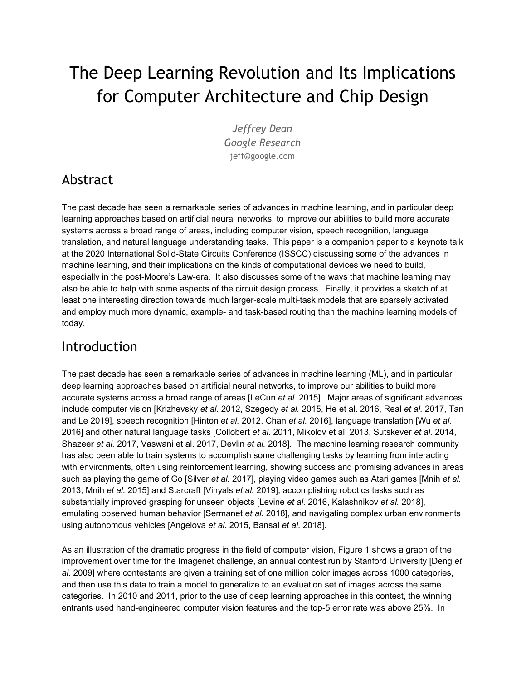Ravi Narayanaswami, Ray Ni, Kathy Nix, Thomas Norrie, Mark Omernick, Narayana Penukonda, Andy Phelps, Jonathan Ross, Matt Ross, Amir Salek, Emad Samadiani, Chris Severn, Gregory Sizikov, Matthew Snelham, Jed Souter, Dan Steinberg, Andy Swing, Mercedes Tan, Gregory Thorson, Bo Tian, Horia Toma, Erick Tuttle, Vijay Vasudevan, Richard Walter, Walter Wang, Eric Wilcox, and Doe Hyun Yoon. "In-datacenter performance analysis of a tensor processing unit." In *2017 ACM/IEEE 44th Annual International Symposium on Computer Architecture (ISCA)*, pp. 1-12. IEEE, 2017. arxiv.org/abs/1704.04760

- [Kalashnikov *et al.* 2018] Kalashnikov, Dmitry, Alex Irpan, Peter Pastor, Julian Ibarz, Alexander Herzog, Eric Jang, Deirdre Quillen, Ethan Holly, Mrinal Kalakrishnan, Vincent Vanhoucke, and Sergey Levine. "Qt-opt: Scalable deep reinforcement learning for vision-based robotic manipulation." arxiv.org/abs/1806.10293 (2018).
- [Karpathy 2014] Karpathy, Andrej. "What I learned from competing against a ConvNet on ImageNet", karpathy.github.io/2014/09/02/what-i-learned-from-competing-against-a-convnet-on-imagenet/, 2014.
- [Kraska *et al.* 2018] Kraska, Tim, Alex Beutel, Ed H. Chi, Jeffrey Dean, and Neoklis Polyzotis. "The case for learned index structures." In *Proceedings of the 2018 International Conference on Management of Data (SIGMOD)*, pp. 489-504. ACM, 2018. arxiv.org/abs/1712.01208
- [Krause *et al.* 2018] Krause, Jonathan, Varun Gulshan, Ehsan Rahimy, Peter Karth, Kasumi Widner, Greg S. Corrado, Lily Peng, and Dale R. Webster. "Grader variability and the importance of reference standards for evaluating machine learning models for diabetic retinopathy." *Ophthalmology* 125, no. 8 (2018): 1264-1272. arxiv.org/abs/1710.01711
- [Krizhevsky *et al.* 2009] Krizhevsky, Alex, Vinod Nair, and Geoffrey Hinton. "The CIFAR-10 dataset." www.cs.toronto.edu/~kriz/cifar.html (2009).
- [Krizhevsky *et al.* 2012] Krizhevsky, Alex, Ilya Sutskever, and Geoffrey E. Hinton. "Imagenet classification with deep convolutional neural networks." In *Advances in Neural Information Processing Systems (NIPS)*, pp. 1097-1105. 2012.

papers.nips.cc/paper/4824-imagenet-classification-with-deep-convolutional-neural-networks.pdf

- [LeCun *et al.* 2000] LeCun, Y., C. Cortes, and C. J. Burges. "MNIST handwritten digits dataset." (2000). http://yann.lecun.com/exdb/mnist/
- [LeCun *et al.* 2015] LeCun, Yann, Yoshua Bengio, and Geoffrey Hinton. "Deep learning." *Nature* 521, no. 7553 (2015): 436. www.nature.com/articles/nature14539
- [Le *et al.* 2012] Le, Quoc V., Marc'Aurelio Ranzato, Rajat Monga, Matthieu Devin, Kai Chen, Greg S. Corrado, Jeff Dean, and Andrew Y. Ng. "Building high-level features using large scale unsupervised learning." In *Proceedings of the 29th International Coference on International Conference on Machine Learning*, pp. 507-514, 2012. arxiv.org/abs/1112.6209
- [Levine *et al.* 2016] Levine, Sergey, Peter Pastor, Alex Krizhevsky, and Deirdre Quillen. "Learning hand-eye coordination for robotic grasping with large-scale data collection." In *International Symposium on Experimental Robotics*, pp. 173-184. Springer, Cham, 2016. arxiv.org/abs/1603.02199
- [Liu *et al.* 2017] Liu, Yun, Krishna Gadepalli, Mohammad Norouzi, George E. Dahl, Timo Kohlberger, Aleksey Boyko, Subhashini Venugopalan, Aleksei Timofeev, Philip Q. Nelson, Greg S. Corrado, Jason D. Hipp, Lily Peng, and Martin C. Stumpe. "Detecting cancer metastases on gigapixel pathology images." arxiv.org/abs/1703.02442 (2017).
- [Luebke *et al.* 2006] Luebke, David, Mark Harris, Naga Govindaraju, Aaron Lefohn, Mike Houston, John Owens, Mark Segal, Matthew Papakipos, and Ian Buck. "GPGPU: general-purpose computation on graphics hardware." In Proceedings of the 2006 ACM/IEEE conference on Supercomputing, p. 208. ACM, 2006. dl.acm.org/citation.cfm?id=1103933
- [Lu *et al.* 2019] Lu, Jiasen, Dhruv Batra, Devi Parikh, and Stefan Lee. "Vilbert: Pretraining task-agnostic visiolinguistic representations for vision-and-language tasks." arxiv.org/abs/1908.02265 (2019).
- [Mikolov *et al.* 2013] Mikolov, Tomas, Ilya Sutskever, Kai Chen, Greg S. Corrado, and Jeff Dean. "Distributed representations of words and phrases and their compositionality." In *Advances in Neural Information Processing Systems*, pp. 3111-3119. 2013. arxiv.org/abs/1310.4546